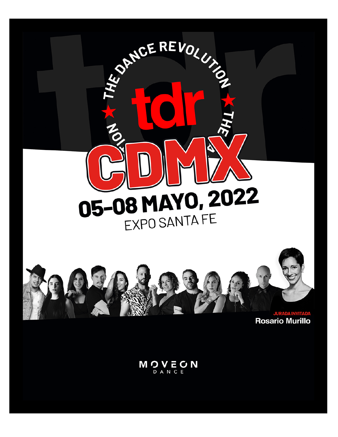

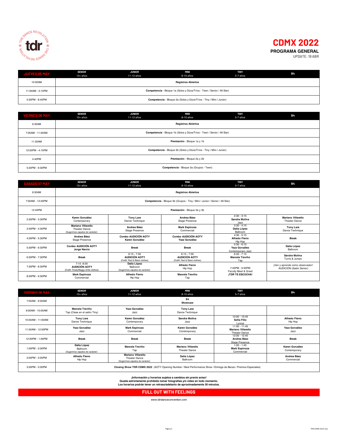

# **CDMX 2022 PROGRAMA GENERAL**

UPDATE: 19 ABR

| <b>JUEVES 05 MAY</b> | <b>SENIOR</b><br>13+ años                                               | <b>JUNIOR</b><br>11-12 años | MINI<br>8-10 años                                                   | <b>TINY</b><br>5-7 años | <b>B4</b> |  |
|----------------------|-------------------------------------------------------------------------|-----------------------------|---------------------------------------------------------------------|-------------------------|-----------|--|
| 10:00AM              | <b>Registros Abiertos</b>                                               |                             |                                                                     |                         |           |  |
| 11:00AM - 5:15PM     | Competencia - Bloque 1a (Solos y Dúos/Tríos - Teen / Senior / All Star) |                             |                                                                     |                         |           |  |
| 5:30PM - 8:45PM      |                                                                         |                             | Competencia - Bloque 2a (Solos y Dúos/Tríos - Tiny / Mini / Junior) |                         |           |  |

| <b>VIERNES 06 MAY</b> | <b>SENIOR</b><br>13+ años                                           | <b>JUNIOR</b><br>11-12 años                                             | MINI<br>8-10 años | <b>TINY</b><br>5-7 años | B4 |  |  |
|-----------------------|---------------------------------------------------------------------|-------------------------------------------------------------------------|-------------------|-------------------------|----|--|--|
| 6:30AM                |                                                                     | <b>Registros Abiertos</b>                                               |                   |                         |    |  |  |
| 7:00AM - 11:00AM      |                                                                     | Competencia - Bloque 1b (Solos y Dúos/Tríos - Teen / Senior / All Star) |                   |                         |    |  |  |
| 11:20AM               | Premiación - Bloque 1a y 1b                                         |                                                                         |                   |                         |    |  |  |
| 12:00PM - 4:15PM      | Competencia - Bloque 2b (Solos y Dúos/Tríos - Tiny / Mini / Junior) |                                                                         |                   |                         |    |  |  |
| 4:40PM                | Premiación - Bloque 2a y 2b                                         |                                                                         |                   |                         |    |  |  |
| 5:20PM - 9:30PM       | Competencia - Bloque 3a (Grupos - Teen)                             |                                                                         |                   |                         |    |  |  |

| <b>SÁBADO 07 MAY</b> | <b>SENIOR</b><br>$13+$ años                                                   | <b>JUNIOR</b><br>11-12 años                                            | MINI<br>8-10 años                                                           | <b>TINY</b><br>5-7 años                             | <b>B4</b>                                                  |
|----------------------|-------------------------------------------------------------------------------|------------------------------------------------------------------------|-----------------------------------------------------------------------------|-----------------------------------------------------|------------------------------------------------------------|
| 6:30AM               |                                                                               |                                                                        | <b>Registros Abiertos</b>                                                   |                                                     |                                                            |
| 7:00AM - 12:20PM     |                                                                               |                                                                        | Competencia - Bloque 3b (Grupos - Tiny / Mini / Junior / Senior / All Star) |                                                     |                                                            |
| 12:45PM              | Premiación - Bloque 3a y 3b                                                   |                                                                        |                                                                             |                                                     |                                                            |
| 2:30PM - 3:30PM      | Karen González<br>Contemporary                                                | <b>Tony Lara</b><br>Dance Technique                                    | Andrea Báez<br><b>Stage Presence</b>                                        | $2:30 - 3:15$<br><b>Sandra Molina</b><br>Jazz       | Mariano Villarello<br><b>Theater Dance</b>                 |
| 3:30PM - 4:30PM      | Mariano Villarello<br>Theater Dance<br>(Sugerimos zapatos de carácter)        | Andrea Báez<br>Stage Presence                                          | <b>Mark Espinoza</b><br>Commercial                                          | $3:30 - 4:15$<br>Dalia López<br>Ballroom            | <b>Tony Lara</b><br>Dance Technique                        |
| 4:30PM - 5:30PM      | Andrea Báez<br><b>Stage Presence</b>                                          | Combo AUDICIÓN AOTY<br>Karen González                                  | <b>Combo AUDICIÓN AOTY</b><br>Yazz González                                 | $4:30 - 5:15$<br>Alfredo Fierro<br>Hip Hop          | <b>Break</b>                                               |
| 5:30PM - 6:30PM      | <b>Combo AUDICIÓN AOTY</b><br>Jorge Narcio                                    | <b>Break</b>                                                           | <b>Break</b>                                                                | $5:30 - 6:15$<br>Yazz González<br>Contemporary Jazz | Dalia López<br>Ballroom                                    |
| 6:30PM - 7:30PM      | <b>Break</b>                                                                  | $6:15 - 7:30$<br><b>AUDICIÓN AOTY</b><br>(Outfit: Red & Black clothes) | $6:15 - 7:30$<br><b>AUDICIÓN AOTY</b><br>(Outfit: Red & Black clothes)      | $6:30 - 7:15$<br>Marcela Treviño<br>Tap             | Sandra Molina<br>Turns & Jumps                             |
| 7:30PM - 8:30PM      | $7:15 - 8:30$<br><b>AUDICIÓN AOTY</b><br>(Outfit: Floaty/Baggy white clothes) | Dalia López<br>Ballroom<br>(Sugerimos zapatos de carácter)             | Alfredo Fierro<br>Hip Hop                                                   | 7:45PM - 9:30PM<br>Faculty Meet & Greet             | ¡Ven y aprende como observador!<br>AUDICIÓN (Salón Senior) |
| 8:30PM - 9:30PM      | <b>Mark Espinoza</b><br>Commercial                                            | <b>Alfredo Fierro</b><br>Hip Hop                                       | Marcela Treviño<br>Tap                                                      | <b>ITDR TE ESCUCHA!</b>                             |                                                            |

| <b>DOMINGO 08 MAY</b> | <b>SENIOR</b><br>$13+afios$                                                                                      | <b>JUNIOR</b><br>11-12 años                                                          | <b>MINI</b><br>8-10 años                          | <b>TINY</b><br>5-7 años                                       | <b>B4</b>                        |
|-----------------------|------------------------------------------------------------------------------------------------------------------|--------------------------------------------------------------------------------------|---------------------------------------------------|---------------------------------------------------------------|----------------------------------|
| 7:00AM - 9:00AM       |                                                                                                                  |                                                                                      | <b>B4</b><br>Showcase                             |                                                               |                                  |
| 9:00AM - 10:00AM      | Marcela Treviño<br>Tap (Clase en el salón Tiny)                                                                  | Yazz González<br>Jazz                                                                | <b>Tony Lara</b><br>Dance Technique               |                                                               |                                  |
| 10:00AM - 11:00AM     | <b>Tony Lara</b><br>Dance Technique                                                                              | Karen González<br>Contemporary                                                       | Sandra Molina<br>Jazz                             | $10:00 - 10:45$<br>Sofía Filio<br>Lyrical                     | <b>Alfredo Fierro</b><br>Hip Hop |
| 11:00AM - 12:00PM     | Yazz González<br>Jazz                                                                                            | <b>Mark Espinoza</b><br>Commercial                                                   | Karen González<br>Contemporary                    | $11:00 - 11:45$<br><b>Mariano Villarello</b><br>Theater Dance | Yazz González<br>Jazz            |
| 12:00PM - 1:00PM      | <b>Break</b>                                                                                                     | <b>Break</b>                                                                         | <b>Break</b>                                      | 12:00 - 12:45<br>Andrea Báez<br><b>Stage Presence</b>         | <b>Break</b>                     |
| 1:00PM - 2:00PM       | Dalia López<br>Ballroom<br>(Sugerimos zapatos de carácter)                                                       | Marcela Treviño<br>Tap                                                               | <b>Mariano Villarello</b><br><b>Theater Dance</b> | $1:00 - 1:45$<br><b>Mark Espinoza</b><br>Commercial           | Karen González<br>Contemporary   |
| 2:00PM - 3:00PM       | Alfredo Fierro<br>Hip Hop                                                                                        | <b>Mariano Villarello</b><br><b>Theater Dance</b><br>(Sugerimos zapatos de carácter) | Dalia López<br>Ballroom                           |                                                               | Andrea Báez<br>Commercial        |
| 3:30PM - 5:00PM       | Closing Show TDR CDMX 2022 (AOTY Opening Number / Best Performance Show / Entrega de Becas / Premios Especiales) |                                                                                      |                                                   |                                                               |                                  |

lnformación y horarios sujetos a cambios sin previo aviso!<br>Queda estrictamente prohibido tomar fotografías y/o video en todo momento.<br>Los horarios podrán tener un retraso/adelanto de aproximadamente 30 minutos.

**FULL OUT WITH FEELINGS**

www.tdrdanceconvention.com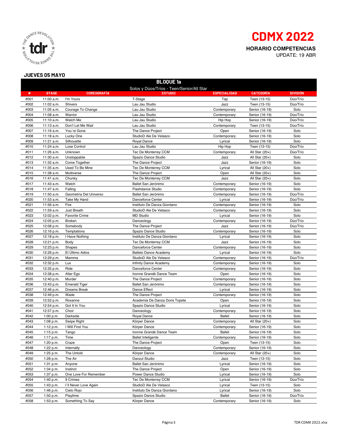

#### **JUEVES 05 MAYO**



|      | <b>BLOQUE 1a</b> |                        |                                           |                     |                  |                 |  |
|------|------------------|------------------------|-------------------------------------------|---------------------|------------------|-----------------|--|
|      |                  |                        | Solos y Dúos/Tríos - Teen/Senior/All Star |                     |                  |                 |  |
| #    | <b>STAGE</b>     | <b>COREOGRAFIA</b>     | <b>ESTUDIO</b>                            | <b>ESPECIALIDAD</b> | <b>CATEGORÍA</b> | <b>DIVISIÓN</b> |  |
| #001 | 11:00 a.m.       | I'm Yours              | T-Stage                                   | Tap                 | Teen (13-15)     | Dúo/Trío        |  |
| #002 | 11:02 a.m.       | Shivers                | Lau Jau Studio                            | Jazz                | Teen (13-15)     | Dúo/Trío        |  |
| #003 | 11:05 a.m.       | Courage To Change      | Lau Jau Studio                            | Contemporary        | Senior (16-19)   | Solo            |  |
| #004 | 11:08 a.m.       | Warrior                | Lau Jau Studio                            | Contemporary        | Senior (16-19)   | Dúo/Trío        |  |
| #005 | 11:10 a.m.       | Watch Me               | Lau Jau Studio                            | Hip Hop             | Senior (16-19)   | Dúo/Trío        |  |
| #006 | 11:13 a.m.       | Don't Let Me Wait      | Lau Jau Studio                            | Contemporary        | Teen (13-15)     | Dúo/Trío        |  |
| #007 | 11:16 a.m.       | You're Gone            | The Dance Project                         | Open                | Senior (16-19)   | Solo            |  |
| #008 | 11:18 a.m.       | Lucky One              | StudioD Ale De Velasco                    | Contemporary        | Senior (16-19)   | Solo            |  |
| #009 | 11:21 a.m.       | Silhouette             | Royal Dance                               | Lyrical             | Senior (16-19)   | Solo            |  |
| #010 | 11:24 a.m.       | Lose Control           | Lau Jau Studio                            | Hip Hop             | Teen (13-15)     | Dúo/Trío        |  |
| #011 | 11:26 a.m.       | Unknown                | Tec De Monterrey CCM                      | Contemporary        | All Star (20+)   | Dúo/Trío        |  |
| #012 | 11:30 a.m.       | Unstoppable            | Spazio Dance Studio                       | Jazz                | All Star (20+)   | Solo            |  |
| #013 | 11:32 a.m.       | Come Together          | The Dance Project                         | Jazz                | Senior (16-19)   | Solo            |  |
| #014 | 11:35 a.m.       | Used To Be Mine        | Tec De Monterrey CCM                      | Lyrical             | All Star $(20+)$ | Solo            |  |
| #015 | 11:38 a.m.       | Multiverse             | The Dance Project                         | Open                | All Star (20+)   | Solo            |  |
| #016 | 11:41 a.m.       | Chunky                 | Tec De Monterrey CCM                      | Jazz                | All Star $(20+)$ | Solo            |  |
| #017 | 11:43 a.m.       | Watch                  | Ballet San Jerónimo                       | Contemporary        | Senior (16-19)   | Solo            |  |
| #018 | 11:47 a.m.       | Falling                | Flashdance Studio                         | Contemporary        | Senior (16-19)   | Solo            |  |
| #019 | 11:50 a.m.       | Geometría Del Universo | Ballet San Jerónimo                       | Contemporary        | Senior (16-19)   | Dúo/Trío        |  |
| #020 | 11:53 a.m.       | Take My Hand           | Danceforce Center                         | Lyrical             | Senior (16-19)   | Dúo/Trío        |  |
| #021 | 11:56 a.m.       | Fire                   | Instituto De Danza Giordano               | Contemporary        | Senior (16-19)   | Solo            |  |
| #022 | 11:59 a.m.       | Just Breath            | StudioD Ale De Velasco                    | Contemporary        | Senior (16-19)   | Solo            |  |
| #023 | 12:02 p.m.       | <b>Favorite Crime</b>  | <b>MD Studio</b>                          | Lyrical             | Senior (16-19)   | Solo            |  |
| #024 | 12:05 p.m.       | <b>Broken</b>          | Danceology                                | Contemporary        | Senior (16-19)   | Dúo/Trío        |  |
| #025 | 12:08 p.m.       | Somebody               | The Dance Project                         | Jazz                | Senior (16-19)   | Dúo/Trío        |  |
| #026 | 12:16 p.m.       | Temptations            | Spazio Dance Studio                       | Contemporary        | Senior (16-19)   | Solo            |  |
| #027 | 12:18 p.m.       | I Have Nothing         | Instituto De Danza Giordano               | Lyrical             | Senior (16-19)   | Solo            |  |
| #028 | 12:21 p.m.       | Body                   | Tec De Monterrey CCM                      | Jazz                | Senior (16-19)   | Solo            |  |
| #029 | 12:23 p.m.       | Shapes                 | Danceforce Center                         | Contemporary        | Senior (16-19)   | Solo            |  |
| #030 | 12:26 p.m.       | El Último Adios        | <b>Balleto Dance Academy</b>              | Lyrical             | Senior (16-19)   | Solo            |  |
| #031 | 12:29 p.m.       | Mamma                  | StudioD Ale De Velasco                    | Contemporary        | Senior (16-19)   | Dúo/Trío        |  |
| #032 | 12:32 p.m.       | Lux                    | Infinity Dance Academy                    | Contemporary        | Senior (16-19)   | Solo            |  |
| #033 | 12:35 p.m.       | Ride                   | Danceforce Center                         | Contemporary        | Senior (16-19)   | Solo            |  |
| #034 | 12:38 p.m.       | Alter Ego              | Ivonne Grandé Dance Team                  | Open                | Senior (16-19)   | Solo            |  |
| #035 | 12:40 p.m.       | Murder                 | The Dance Project                         | Contemporary        | Senior (16-19)   | Solo            |  |
| #036 | 12:43 p.m.       | <b>Emerald Tiger</b>   | Ballet San Jerónimo                       | Contemporary        | Senior (16-19)   | Solo            |  |
| #037 | 12:46 p.m.       | Dreams Break           | Dance Effect                              | Lyrical             | Senior (16-19)   | Solo            |  |
| #038 | 12:49 p.m.       | Wade                   | The Dance Project                         | Contemporary        | Senior (16-19)   | Solo            |  |
| #039 | 12:52 p.m.       | Roxanne                | Academia De Danza Doris Topete            | Open                | Senior (16-19)   | Solo            |  |
| #040 | 12:54 p.m.       | Got It In You          | Spazio Dance Studio                       | Lyrical             | Senior (16-19)   | Solo            |  |
| #041 | 12:57 p.m.       | Choir                  | Danceology                                | Contemporary        | Senior (16-19)   | Solo            |  |
| #042 | 1:00 p.m.        | Darkside               | Royal Dance                               | <b>Ballet</b>       | Senior (16-19)   | Solo            |  |
| #043 | 1:08 p.m.        | Swipe Right            | Körper Dance                              | Contemporary        | All Star $(20+)$ | Solo            |  |
| #044 | 1:12 p.m.        | I Will Find You        | Körper Dance                              | Contemporary        | Senior (16-19)   | Solo            |  |
| #045 | 1:15 p.m.        | Tango                  | Ivonne Grandé Dance Team                  | Ballet              | Senior (16-19)   | Solo            |  |
| #046 | 1:17 p.m.        | Time                   | <b>Ballet Inteligente</b>                 | Contemporary        | Senior (16-19)   | Solo            |  |
| #047 | 1:20 p.m.        | Craze                  | The Dance Project                         | Open                | Teen (13-15)     | Solo            |  |
| #048 | 1:22 p.m.        | Internally             | Danceology                                | Contemporary        | Senior (16-19)   | Solo            |  |
| #049 | 1:25 p.m.        | The Untold             | Körper Dance                              | Contemporary        | All Star $(20+)$ | Solo            |  |
| #050 | 1:28 p.m.        | The Air                | Danzul Studio                             | Jazz                | Teen (13-15)     | Solo            |  |
| #051 | 1:31 p.m.        | Anyone                 | Ballet San Jerónimo                       | Lyrical             | Senior (16-19)   | Solo            |  |
| #052 | 1:34 p.m.        | Instinct               | The Dance Project                         | Open                | Senior (16-19)   | Solo            |  |
| #053 | 1:37 p.m.        | One Love For Remember  | Power Dance Studio                        | Lyrical             | Senior (16-19)   | Solo            |  |
| #054 | 1:40 p.m.        | 9 Crimes               | Tec De Monterrey CCM                      | Lyrical             | Senior (16-19)   | Dúo/Trío        |  |
| #055 | 1:43 p.m.        | I'll Never Love Again  | StudioD Ale De Velasco                    | Lyrical             | Teen (13-15)     | Solo            |  |
| #056 | 1:46 p.m.        | Cielo Rojo             | Instituto De Danza Giordano               | Lyrical             | Senior (16-19)   | Solo            |  |
| #057 | 1:50 p.m.        | Playtime               | Spazio Dance Studio                       | <b>Ballet</b>       | Senior (16-19)   | Dúo/Trío        |  |
| #058 | 1:53 p.m.        | Something To Say       | Körper Dance                              | Contemporary        | Senior (16-19)   | Solo            |  |
|      |                  |                        |                                           |                     |                  |                 |  |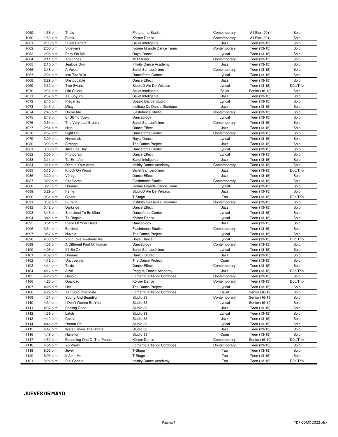| #059         | 1:56 p.m.              | Thule                                       | Plataforma Studio                                   | Contemporary    | All Star $(20+)$               | Solo             |
|--------------|------------------------|---------------------------------------------|-----------------------------------------------------|-----------------|--------------------------------|------------------|
| #060         | 1:59 p.m.              | <b>Blank</b>                                | Körper Dance                                        | Contemporary    | All Star (20+)                 | Solo             |
| #061         | 2:03 p.m.              | I Feel Perfect                              | <b>Ballet Inteligente</b>                           | Jazz            | Teen (13-15)                   | Solo             |
| #062         | 2:06 p.m.              | Sideways                                    | Ivonne Grandé Dance Team                            | Contemporary    | Teen (13-15)                   | Solo             |
| #063         | 2:08 p.m.              | Easy On Me                                  | Royal Dance                                         | Lyrical         | Teen (13-15)                   | Solo             |
| #064         | 2:11 p.m.              | The Pines                                   | <b>MD Studio</b>                                    | Contemporary    | Teen (13-15)                   | Solo             |
| #065         | 2:15 p.m.              | Jealous Guy                                 | Infinity Dance Academy                              | Jazz            | Teen (13-15)                   | Solo             |
| #066         | 2:18 p.m.              | A Voice                                     | Ballet San Jerónimo                                 | Contemporary    | Teen (13-15)                   | Solo             |
| #067         | 2:21 p.m.              | Into The Wild                               | Danceforce Center                                   | Lyrical         | Teen (13-15)                   | Solo             |
| #068         | 2:29 p.m.              | Unstoppable                                 | Dance Effect                                        | Jazz            | Teen (13-15)                   | Solo             |
| #069         | 2:32 p.m.              | Two Swans                                   | StudioD Ale De Velasco                              | Lyrical         | Teen (13-15)                   | Dúo/Trío         |
| #070         | 2:35 p.m.              | Life Colors                                 | <b>Ballet Inteligente</b>                           | <b>Ballet</b>   | Senior (16-19)                 | Solo             |
| #071         | 2:37 p.m.              | Así Soy Yo                                  | <b>Ballet Inteligente</b>                           | Jazz            | Teen (13-15)                   | Solo             |
| #072         | 2:40 p.m.              | Plegarias                                   | Spazio Dance Studio                                 | Lyrical         | Teen (13-15)                   | Solo             |
| #073         | 2:43 p.m.              | Misty                                       | Instituto De Danza Giordano                         | Jazz            | Teen (13-15)                   | Solo             |
| #074         | 2:45 p.m.              | Unlike Me                                   | Flashdance Studio                                   | Contemporary    | Teen (13-15)                   | Solo             |
| #075         | 2:48 p.m.              | El Último Vuelo                             | Danceology                                          | Lyrical         | Teen (13-15)                   | Solo             |
| #076         | 2:51 p.m.              | The Very Last Breath                        | Ballet San Jerónimo                                 | Contemporary    | Teen (13-15)                   | Solo             |
| #077         | 2:54 p.m.              | High                                        | Dance Effect                                        | Jazz            | Teen (13-15)                   | Solo             |
| #078         | 2:57 p.m.              | Light On                                    | Danceforce Center                                   | Contemporary    | Teen (13-15)                   | Solo             |
| #079         | 3:00 p.m.              | Homesick                                    | Royal Dance                                         | Lyrical         | Teen (13-15)                   | Solo             |
| #080         | 3:03 p.m.              | Strange                                     | The Dance Project                                   | Jazz            | Teen (13-15)                   | Solo             |
| #081         | 3:06 p.m.              | Just One Day                                | Danceforce Center                                   | Lyrical         | Teen (13-15)                   | Solo             |
| #082         | 3:08 p.m.              | Photograph                                  | Dance Effect                                        | Lyrical         | Teen (13-15)                   | Solo             |
| #083         | 3:11 p.m.              | Te Extraño                                  | <b>Ballet Inteligente</b>                           | Jazz            | Teen (13-15)                   | Solo             |
| #084         | 3:14 p.m.              | Died In Your Arms                           | Infinity Dance Academy                              | Contemporary    | Teen (13-15)                   | Solo             |
| #085         | 3:16 p.m.              | Knock On Wood                               | Ballet San Jerónimo                                 | Jazz            | Teen (13-15)                   | Dúo/Trío         |
| #086         | 3:20 p.m.              | Vértigo                                     | Dance Effect                                        | Jazz            | Teen (13-15)                   | Solo             |
| #087         | 3:22 p.m.              | Fire Bomb                                   | <b>Flashdance Studio</b>                            | Contemporary    | Teen (13-15)                   | Solo             |
| #088         | 3:25 p.m.              | Dreamin'                                    | Ivonne Grandé Dance Team                            | Lyrical         | Teen (13-15)                   | Solo             |
| #089         | 3:29 p.m.              | Fame                                        | StudioD Ale De Velasco                              | Jazz            | Teen (13-15)                   | Solo             |
| #090         | 3:31 p.m.              | Closer                                      | T-Stage                                             | Tap             | Teen (13-15)                   | Dúo/Trío         |
| #091         | 3:39 p.m.              | Burning                                     | Instituto De Danza Giordano                         | Contemporary    | Teen (13-15)                   | Solo             |
| #092         | 3:42 p.m.              | Darkside                                    | Dance Effect                                        | Jazz            | Teen (13-15)                   | Solo             |
| #093         | 3:45 p.m.              | She Used To Be Mine                         | Danceforce Center                                   | Lyrical         | Teen (13-15)                   | Solo             |
| #094         | 3:48 p.m.              | Te Regalo                                   | Körper Dance                                        | Lyrical         | Teen (13-15)                   | Solo             |
| #095         | 3:51 p.m.              | Piece Of Your Heart                         | Danceology                                          | Jazz            | Teen (13-15)                   | Solo             |
| #096         | 3:54 p.m.              | <b>Barriers</b>                             | Flashdance Studio                                   | Contemporary    | Teen (13-15)                   | Solo             |
| #097         | 3:57 p.m.              | Nuvole                                      | The Dance Project                                   | Lyrical         | Teen (13-15)                   | Solo             |
| #098         | 4:00 p.m.              | Your Love Awakens Me                        | Royal Dance                                         | Lyrical         | Teen (13-15)                   | Dúo/Trío         |
| #099         | 4:03 p.m.              | A Different Kind Of Human                   | Danceology                                          | Contemporary    | Teen (13-15)                   | Solo             |
| #100         | 4:06 p.m.              | It'll Be Ok                                 | Ballet San Jerónimo                                 | Lyrical         | Teen (13-15)                   | Solo             |
| #101         | 4:09 p.m.              | Dreams                                      | Danzul Studio                                       | Jazz            | Teen (13-15)                   | Solo             |
| #102         | 4:12 p.m.              | Uncovering                                  | The Dance Project                                   | Open            | Teen (13-15)                   | Solo             |
| #103         | 4:14 p.m.              | Toxic                                       | Dance Effect                                        | Contemporary    | Teen (13-15)                   | Solo             |
| #104<br>#105 | 4:17 p.m.              | Alive<br>Rebold                             | Pegg Mj Dance Academy<br>Fomento Artístico Cordobés | Jazz            | Teen (13-15)<br>Teen (13-15)   | Dúo/Trío<br>Solo |
|              | 4:20 p.m.              |                                             |                                                     | Contemporary    |                                |                  |
| #106         | 4:23 p.m.              | Dualidad                                    | Körper Dance<br>The Dance Project                   | Contemporary    | Teen (13-15)                   | Dúo/Trío         |
| #107         | 4:25 p.m.              | Her                                         |                                                     | Lyrical         | Teen (13-15)                   | Solo             |
| #108         | 4:29 p.m.              | Tan Solo Imagínate                          | Fomento Artístico Cordobés                          | Ballet          | Senior (16-19)                 | Solo             |
| #109<br>#110 | 4:31 p.m.<br>4:34 p.m. | Young And Beautiful<br>I Don't Wanna Be You | Studio 33<br>Studio 33                              | Contemporary    | Senior (16-19)                 | Solo<br>Solo     |
|              |                        |                                             |                                                     | Lyrical         | Senior (16-19)<br>Teen (13-15) |                  |
| #111<br>#112 | 4:37 p.m.<br>4:39 p.m. | Feeling Good<br>Latch                       | Studio 33<br>Studio 33                              | Jazz<br>Lyrical | Teen (13-15)                   | Solo<br>Solo     |
| #113         | 4:42 p.m.              | Castle                                      | Studio 33                                           | Jazz            | Teen (13-15)                   | Solo             |
| #114         |                        | Dream On                                    | Studio 33                                           | Lyrical         |                                | Solo             |
| #115         | 4:45 p.m.<br>4:47 p.m. | Water Under The Bridge                      | Studio 33                                           | Jazz            | Teen (13-15)<br>Teen (13-15)   | Solo             |
| #116         | 4:49 p.m.              | Hamilton                                    | Studio 33                                           | Open            | Teen (13-15)                   | Solo             |
| #117         | 4:52 p.m.              | Becoming One Of The People                  | Körper Dance                                        | Contemporary    | Senior (16-19)                 | Dúo/Trío         |
| #118         | 4:54 p.m.              | Yo Vuelo                                    | Fomento Artístico Cordobés                          | Contemporary    | Teen (13-15)                   | Solo             |
| #119         |                        |                                             | T-Stage                                             |                 |                                | Solo             |
| #120         | 5:00 p.m.              | Juvel                                       | T-Stage                                             | Tap             | Teen (13-15)                   | Solo             |
|              | 5:03 p.m.              | It Ain't Me                                 |                                                     | Tap             | Teen (13-15)                   |                  |
| #121         | 5:06 p.m.              | Piel Canela                                 | Infinity Dance Academy                              | Tap             | Teen (13-15)                   | Dúo/Trío         |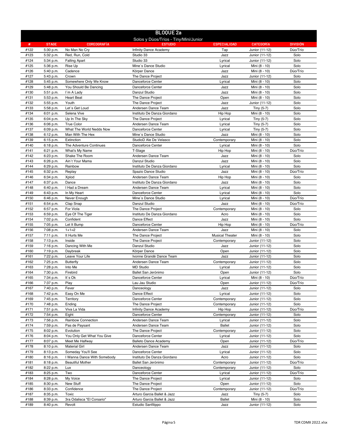| <b>BLOQUE 2a</b> |                        |                                   |                                                  |                         |                                  |                  |
|------------------|------------------------|-----------------------------------|--------------------------------------------------|-------------------------|----------------------------------|------------------|
|                  |                        |                                   | Solos y Dúos/Tríos - Tiny/Mini/Junior            |                         |                                  |                  |
| #                | <b>STAGE</b>           | <b>COREOGRAFÍA</b>                | <b>ESTUDIO</b>                                   | <b>ESPECIALIDAD</b>     | <b>CATEGORIA</b>                 | <b>DIVISIÓN</b>  |
| #122<br>#123     | 5:30 p.m.<br>5:32 p.m. | No Man No Cry<br>Red, Run, Cold   | Infinity Dance Academy<br>Studio 33              | Tap<br>Jazz             | Junior (11-12)<br>Junior (11-12) | Dúo/Trío<br>Solo |
| #124             | 5:34 p.m.              | <b>Falling Apart</b>              | Studio 33                                        | Lyrical                 | Junior (11-12)                   | Solo             |
| #125             | 5:36 p.m.              | Rise Up                           | Mine's Dance Studio                              | Lyrical                 | Mini (8 - 10)                    | Solo             |
| #126             | 5:40 p.m.              | Cadence                           | Körper Dance                                     | Jazz                    | Mini (8 - 10)                    | Dúo/Trío         |
| #127             | 5:43 p.m.              | Crown                             | The Dance Project                                | Jazz                    | Junior (11-12)                   | Solo             |
| #128             | 5:45 p.m.              | Somewhere Only We Know            | Danceforce Center                                | Lyrical                 | Mini (8 - 10)                    | Solo             |
| #129             | 5:48 p.m.              | You Should Be Dancing             | Danceforce Center                                | Jazz                    | Mini (8 - 10)                    | Solo             |
| #130             | 5:51 p.m.              | I'm A Lady                        | Danzul Studio                                    | Jazz                    | Mini (8 - 10)                    | Solo             |
| #131<br>#132     | 5:53 p.m.              | <b>Heart Beat</b><br>Youth        | The Dance Project<br>The Dance Project           | Open<br>Jazz            | Mini (8 - 10)                    | Solo<br>Solo     |
| #133             | 5:55 p.m.<br>5:58 p.m. | Let's Get Loud                    | Andersen Dance Team                              | Jazz                    | Junior (11-12)<br>Tiny (5-7)     | Solo             |
| #134             | 6:01 p.m.              | Selena Vive                       | Instituto De Danza Giordano                      | Hip Hop                 | Mini (8 - 10)                    | Solo             |
| #135             | 6:04 p.m.              | Up In The Sky                     | The Dance Project                                | Lyrical                 | Tiny (5-7)                       | Solo             |
| #136             | 6:06 p.m.              | <b>True Color</b>                 | Andersen Dance Team                              | Lyrical                 | Tiny (5-7)                       | Solo             |
| #137             | 6:09 p.m.              | What The World Nedds Now          | Danceforce Center                                | Lyrical                 | Tiny (5-7)                       | Solo             |
| #138             | 6:12 p.m.              | Man With The Hex                  | Mine's Dance Studio                              | Jazz                    | Mini (8 - 10)                    | Solo             |
| #139             | 6:15 p.m.              | Extinction                        | StudioD Ale De Velasco                           | Contemporary            | Mini (8 - 10)                    | Solo             |
| #140             | 6:18 p.m.              | The Adventure Continues           | Danceforce Center                                | Lyrical                 | Mini (8 - 10)                    | Solo             |
| #141             | 6:21 p.m.              | What's My Name                    | T-Stage<br>Andersen Dance Team                   | Hip Hop<br>Jazz         | Mini (8 - 10)                    | Dúo/Trío<br>Solo |
| #142<br>#143     | 6:23 p.m.<br>6:26 p.m. | Shake The Room<br>Ain't Your Mama | Danzul Studio                                    | Jazz                    | Mini (8 - 10)<br>Mini (8 - 10)   | Solo             |
| #144             | 6:29 p.m.              | Rainbow                           | Instituto De Danza Giordano                      | Lyrical                 | Mini (8 - 10)                    | Solo             |
| #145             | 6:32 p.m.              | Replay                            | Spazio Dance Studio                              | Jazz                    | Mini (8 - 10)                    | Dúo/Trío         |
| #146             | 6:34 p.m.              | Xplod                             | Andersen Dance Team                              | Hip Hop                 | Mini (8 - 10)                    | Solo             |
| #147             | 6:37 p.m.              | Dance                             | Instituto De Danza Giordano                      | Jazz                    | Mini (8 - 10)                    | Solo             |
| #148             | 6:40 p.m.              | I Had a Dream                     | Andersen Dance Team                              | Lyrical                 | Mini (8 - 10)                    | Solo             |
| #149             | 6:43 p.m.              | In My Heart                       | Danceforce Center                                | Lyrical                 | Mini (8 - 10)                    | Solo             |
| #150             | 6:46 p.m.              | Never Enough                      | Mine's Dance Studio                              | Lyrical                 | Mini (8 - 10)                    | Dúo/Trío         |
| #151             | 6:54 p.m.              | Clap Snap                         | Danzul Studio                                    | Jazz                    | Mini (8 - 10)                    | Dúo/Trío         |
| #152             | 6:57 p.m.              | For Viola                         | The Dance Project                                | Contemporary            | Mini (8 - 10)                    | Solo             |
| #153             | 6:59 p.m.              | Eye Of The Tiger                  | Instituto De Danza Giordano                      | Acro                    | Mini (8 - 10)                    | Solo             |
| #154<br>#155     | 7:02 p.m.<br>7:05 p.m. | Confident<br>Let It Bump          | Dance Effect<br>Danceforce Center                | Jazz<br>Hip Hop         | Mini (8 - 10)<br>Mini (8 - 10)   | Solo<br>Dúo/Trío |
| #156             | 7:08 p.m.              | $1+1=2$                           | Andersen Dance Team                              | Jazz                    | Mini (8 - 10)                    | Solo             |
| #157             | 7:11 p.m.              | It Hurts Me                       | The Dance Project                                | <b>Musical Theater</b>  | Mini (8 - 10)                    | Solo             |
| #158             | 7:13 p.m.              | Inside                            | The Dance Project                                | Contemporary            | Junior (11-12)                   | Solo             |
| #159             | 7:16 p.m.              | Dancing With Me                   | Danzul Studio                                    | Jazz                    | Junior (11-12)                   | Solo             |
| #160             | 7:19 p.m.              | Daybreak                          | Körper Dance                                     | Open                    | Junior (11-12)                   | Solo             |
| #161             | 7:22 p.m.              | Leave Your Life                   | Ivonne Grandé Dance Team                         | Jazz                    | Junior (11-12)                   | Solo             |
| #162             | 7:25 p.m.              | <b>Butterfly</b>                  | Andersen Dance Team                              | Contemporary            | Junior (11-12)                   | Solo             |
| #163             | 7:28 p.m.              | Into Me                           | <b>MD Studio</b>                                 | Lyrical                 | Junior (11-12)                   | Solo             |
| #164<br>#165     | 7:30 p.m.<br>7:34 p.m. | Firebird<br>It's Ok               | Ballet San Jerónimo<br>Danceforce Center         | Open<br>Lyrical         | Junior (11-12)<br>Mini (8 - 10)  | Solo<br>Dúo/Trío |
| #166             | 7:37 p.m.              | Play                              | Lau Jau Studio                                   | Open                    | Junior (11-12)                   | Dúo/Trío         |
| #167             | 7:40 p.m.              | Fever                             | Danceology                                       | Jazz                    | Junior (11-12)                   | Solo             |
| #168             | 7:42 p.m.              | Easy On Me                        | Dance Effect                                     | Lyrical                 | Junior (11-12)                   | Solo             |
| #169             | 7:45 p.m.              | Territory                         | Danceforce Center                                | Contemporary            | Junior (11-12)                   | Solo             |
| #170             | 7:48 p.m.              | Ending                            | The Dance Project                                | Contemporary            | Junior (11-12)                   | Solo             |
| #171             | 7:51 p.m.              | Viva La Vida                      | Infinity Dance Academy                           | Hip Hop                 | Junior (11-12)                   | Dúo/Trío         |
| #172             | 7:54 p.m.              | Eight                             | Danceforce Center                                | Contemporary            | Junior (11-12)                   | Solo             |
| #173             | 7:56 p.m.              | Rainbow Connection                | Andersen Dance Team                              | Lyrical                 | Junior (11-12)                   | Solo             |
| #174<br>#175     | 7:59 p.m.              | Pas de Paysant<br>Evolution       | Andersen Dance Team<br>The Dance Project         | <b>Ballet</b>           | Junior (11-12)                   | Solo<br>Solo     |
| #176             | 8:02 p.m.<br>8:04 p.m. | You Only Get What You Give        | Danceforce Center                                | Contemporary<br>Lyrical | Junior (11-12)<br>Junior (11-12) | Solo             |
| #177             | 8:07 p.m.              | Meet Me Halfway                   | <b>Balleto Dance Academy</b>                     | Open                    | Junior (11-12)                   | Dúo/Trío         |
| #178             | 8:10 p.m.              | <b>Material Girl</b>              | Andersen Dance Team                              | Jazz                    | Junior (11-12)                   | Solo             |
| #179             | 8:13 p.m.              | Someday You'll See                | Danceforce Center                                | Lyrical                 | Junior (11-12)                   | Solo             |
| #180             | 8:16 p.m.              | I Wanna Dance With Somebody       | Instituto De Danza Giordano                      | Acro                    | Junior (11-12)                   | Solo             |
| #181             | 8:18 p.m.              | <b>Beautiful Mother</b>           | Ballet San Jerónimo                              | Contemporary            | Junior (11-12)                   | Dúo/Trío         |
| #182             | 8:22 p.m.              | Lux                               | Danceology                                       | Contemporary            | Junior (11-12)                   | Solo             |
| #183             | 8:25 p.m.              | Two                               | Danceforce Center                                | Lyrical                 | Junior (11-12)                   | Dúo/Trío         |
| #184             | 8:28 p.m.              | My Voice                          | The Dance Project                                | Lyrical                 | Junior (11-12)                   | Solo             |
| #185             | 8:30 p.m.              | New Stuff                         | The Dance Project                                | Open                    | Junior (11-12)                   | Solo             |
| #186<br>#187     | 8:33 p.m.<br>8:35 p.m. | Confidence<br>Toxic               | The Dance Project<br>Arturo Garcia Ballet & Jazz | Contemporary<br>Jazz    | Junior (11-12)<br>Tiny (5-7)     | Dúo/Trío<br>Solo |
| #188             | 8:39 p.m.              | 3ra Odalisca "El Corsario"        | Arturo Garcia Ballet & Jazz                      | Ballet                  | Mini (8 - 10)                    | Solo             |
| #189             | 8:40 p.m.              | Revolt                            | Estudio Sanfilippo                               | Jazz                    | Junior (11-12)                   | Solo             |
|                  |                        |                                   |                                                  |                         |                                  |                  |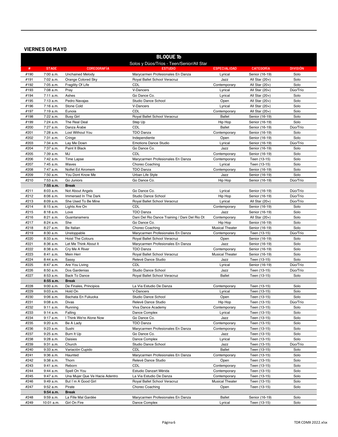#### **VIERNES 06 MAY0**

|              | <b>BLOQUE 1b</b>                          |                                      |                                                               |                                   |                                    |                 |  |  |
|--------------|-------------------------------------------|--------------------------------------|---------------------------------------------------------------|-----------------------------------|------------------------------------|-----------------|--|--|
|              | Solos y Dúos/Tríos - Teen/Senior/All Star |                                      |                                                               |                                   |                                    |                 |  |  |
| #            | <b>STAGE</b>                              | <b>COREOGRAFÍA</b>                   | <b>ESTUDIO</b>                                                | <b>ESPECIALIDAD</b>               | <b>CATEGORIA</b>                   | <b>DIVISIÓN</b> |  |  |
| #190         | 7:00 a.m.                                 | <b>Unchained Melody</b>              | Marycarmen Profesionales En Danza                             | Lyrical                           | Senior (16-19)                     | Solo            |  |  |
| #191         | 7:02 a.m.                                 | Orange Colored Sky                   | Royal Ballet School Veracruz                                  | Jazz                              | All Star (20+)                     | Solo            |  |  |
| #192         | 7:05 a.m.                                 | Fragility Of Life                    | CDL                                                           | Contemporary                      | All Star $(20+)$                   | Solo            |  |  |
| #193         | 7:08 a.m.                                 | Pray                                 | V-Dancers                                                     | Lyrical                           | All Star (20+)                     | Dúo/Trío        |  |  |
| #194         | 7:11 a.m.                                 | Ashes                                | Go Dance Co.                                                  | Lyrical                           | All Star $(20+)$                   | Solo            |  |  |
| #195         | 7:13 a.m.                                 | Pedro Navajas                        | Studio Dance School                                           | Open                              | All Star $(20+)$                   | Solo            |  |  |
| #196         | 7:16 a.m.                                 | Stone Cold<br>Eunoia                 | V-Dancers<br>CDL                                              | Lyrical                           | All Star (20+)                     | Solo<br>Solo    |  |  |
| #197<br>#198 | 7:19 a.m.<br>7:22 a.m.                    | <b>Busy Girl</b>                     | Royal Ballet School Veracruz                                  | Contemporary<br><b>Ballet</b>     | All Star $(20+)$<br>Senior (16-19) | Solo            |  |  |
| #199         | 7:24 a.m.                                 | The Real Deal                        | Step Up                                                       | Hip Hop                           | Senior (16-19)                     | Solo            |  |  |
| #200         | 7:27 a.m.                                 | Danza Árabe                          | <b>CDL</b>                                                    | <b>Ballet</b>                     | Senior (16-19)                     | Dúo/Trío        |  |  |
| #201         | 7:28 a.m.                                 | Lost Without You                     | <b>TDO Danza</b>                                              | Contemporary                      | Senior (16-19)                     | Solo            |  |  |
| #202         | 7:31 a.m.                                 | Cringe                               | Independiente                                                 | Open                              | Senior (16-19)                     | Solo            |  |  |
| #203         | 7:34 a.m.                                 | Lay Me Down                          | <b>Emotions Dance Studio</b>                                  | Lyrical                           | Senior (16-19)                     | Dúo/Trío        |  |  |
| #204         | 7:37 a.m.                                 | Paint It Black                       | Go Dance Co.                                                  | Jazz                              | Senior (16-19)                     | Solo            |  |  |
| #205         | 7:39 a.m.                                 | MJ                                   | CDL                                                           | Contemporary                      | Senior (16-19)                     | Solo            |  |  |
| #206         | 7:42 a.m.                                 | <b>Time Lapse</b>                    | Marycarmen Profesionales En Danza                             | Contemporary                      | Teen (13-15)                       | Solo            |  |  |
| #207         | 7:45 a.m.                                 | Waves                                | Choreo Coaching                                               | Lyrical                           | Teen (13-15)                       | Solo            |  |  |
| #208         | 7:47 a.m.                                 | Nolfet Ed Airomem                    | <b>TDO Danza</b>                                              | Contemporary                      | Senior (16-19)                     | Solo            |  |  |
| #209         | 7:50 a.m.                                 | You Dont Know Me                     | Urban Life Style                                              | Jazz                              | Senior (16-19)                     | Solo            |  |  |
| #210         | 7:53 a.m.                                 | Go Juniors                           | Go Dance Co.                                                  | Hip Hop                           | Senior (16-19)                     | Dúo/Trío        |  |  |
|              | 7:55 a.m.                                 | <b>Break</b>                         |                                                               |                                   |                                    |                 |  |  |
| #211         | 8:03 a.m.                                 | Not About Angels                     | Go Dance Co.                                                  | Lyrical                           | Senior (16-19)                     | Dúo/Trío        |  |  |
| #212         | 8:06a.m.                                  | Immersed In The Dark                 | Studio Dance School                                           | Hip Hop                           | Senior (16-19)                     | Dúo/Trío        |  |  |
| #213         | 8:09 a.m.                                 | She Used To Be Mine                  | Royal Ballet School Veracruz                                  | Lyrical                           | All Star $(20+)$                   | Dúo/Trío        |  |  |
| #214         | 8:15 a.m.                                 | Lights Are On                        | CDL                                                           | Contemporary                      | Senior (16-19)                     | Solo            |  |  |
| #215         | 8:18 a.m.                                 | Love                                 | <b>TDO Danza</b>                                              | Jazz                              | Senior (16-19)                     | Solo            |  |  |
| #216         | 8:21 a.m.                                 | Guantanamera<br>She                  | Dani Del Rio Dance Training / Dani Del Rio Dt<br>Go Dance Co. | Contemporary                      | All Star $(20+)$                   | Solo<br>Solo    |  |  |
| #217<br>#218 | 8:24 a.m.<br>8:27 a.m.                    | Be Italian                           | Choreo Coaching                                               | Hip Hop<br><b>Musical Theater</b> | Senior (16-19)<br>Senior (16-19)   | Solo            |  |  |
| #219         | 8:30 a.m.                                 | Unstoppable                          | Marycarmen Profesionales En Danza                             | Contemporary                      | Teen (13-15)                       | Dúo/Trío        |  |  |
| #220         | 8:33 a.m.                                 | <b>Hoist The Colours</b>             | Royal Ballet School Veracruz                                  | Open                              | Senior (16-19)                     | Solo            |  |  |
| #221         | 8:36 a.m.                                 | Let Me Think About It                | Marycarmen Profesionales En Danza                             | Jazz                              | Senior (16-19)                     | Solo            |  |  |
| #222         | 8:38 a.m.                                 | Cry Me A River                       | <b>TDO Danza</b>                                              | Contemporary                      | Senior (16-19)                     | Solo            |  |  |
| #223         | 8:41 a.m.                                 | Mein Herr                            | Royal Ballet School Veracruz                                  | <b>Musical Theater</b>            | Senior (16-19)                     | Solo            |  |  |
| #224         | 8:44 a.m.                                 | Sassy                                | Relevé Dance Studio                                           | Jazz                              | Teen (13-15)                       | Solo            |  |  |
| #225         | 8:47 a.m.                                 | Are You Living                       | CDL                                                           | Lyrical                           | Senior (16-19)                     | Dúo/Trío        |  |  |
| #226         | 8:50 a.m.                                 | Dos Gardenias                        | Studio Dance School                                           | Jazz                              | Teen (13-15)                       | Dúo/Trío        |  |  |
| #227         | 8:53 a.m.                                 | <b>Back To Dance</b>                 | Royal Ballet School Veracruz                                  | <b>Ballet</b>                     | Teen (13-15)                       | Solo            |  |  |
|              | $8:55$ a.m.                               | <b>Break</b>                         |                                                               |                                   |                                    |                 |  |  |
| #228         | 9:00 a.m.                                 | De Finales, Principios               | La Vía Estudio De Danza                                       | Contemporary                      | Teen (13-15)                       | Solo            |  |  |
| #229         | 9:03 a.m.                                 | Hold On                              | V-Dancers                                                     | Lyrical                           | Teen (13-15)                       | Solo            |  |  |
| #230         | $9:06$ a.m.                               | Bachata En Fukuoka                   | Studio Dance School                                           | Open                              | Teen (13-15)                       | Solo            |  |  |
| #231         | 9:08 a.m.                                 | Divas                                | Relevé Dance Studio                                           | Hip Hop                           | Teen (13-15)                       | Dúo/Trío        |  |  |
| #232         | 9:11 a.m.                                 | Running                              | Viva Dance Academy                                            | Contemporary                      | Teen (13-15)                       | Solo            |  |  |
| #233         | 9:14 a.m.<br>9:17 a.m.                    | Falling                              | Dance Complex                                                 | Lyrical                           | Teen (13-15)                       | Solo            |  |  |
| #234<br>#235 | 9:20 a.m.                                 | I Think We're Alone Now<br>Be A Lady | Go Dance Co.<br>TDO Danza                                     | Jazz<br>Contemporary              | Teen (13-15)<br>Teen (13-15)       | Solo<br>Solo    |  |  |
| #236         | 9:23 a.m.                                 | Sushi                                | Marycarmen Profesionales En Danza                             | Contemporary                      | Teen (13-15)                       | Solo            |  |  |
| #237         | 9:25 a.m.                                 | Burn It Up                           | Go Dance Co.                                                  | Jazz                              | Teen (13-15)                       | Solo            |  |  |
| #238         | 9:28 a.m.                                 | Daisies                              | Dance Complex                                                 | Lyrical                           | Teen (13-15)                       | Solo            |  |  |
| #239         | 9:31 a.m.                                 | Church                               | Studio Dance School                                           | Jazz                              | Teen (13-15)                       | Dúo/Trío        |  |  |
| #240         | 9:33 a.m.                                 | Variación Cupido                     | CDL                                                           | <b>Ballet</b>                     | Teen (13-15)                       | Solo            |  |  |
| #241         | 9:36 a.m.                                 | Haunted                              | Marycarmen Profesionales En Danza                             | Contemporary                      | Teen (13-15)                       | Solo            |  |  |
| #242         | 9:38 a.m.                                 | Thorn                                | Relevé Dance Studio                                           | Open                              | Teen (13-15)                       | Solo            |  |  |
| #243         | 9:41 a.m.                                 | Reborn                               | CDL                                                           | Contemporary                      | Teen (13-15)                       | Solo            |  |  |
| #244         | 9:44 a.m.                                 | Spell On You                         | Estudio Danzart Mérida                                        | Contemporary                      | Teen (13-15)                       | Solo            |  |  |
| #245         | 9:47 a.m.                                 | Una Mujer Que Ve Hacia Adentro       | La Vía Estudio De Danza                                       | Contemporary                      | Teen (13-15)                       | Solo            |  |  |
| #246         | 9:49 a.m.                                 | But I'm A Good Girl                  | Royal Ballet School Veracruz                                  | <b>Musical Theater</b>            | Teen (13-15)                       | Solo            |  |  |
| #247         | 9:52 a.m.                                 | Pirate                               | Choreo Coaching                                               | Open                              | Teen (13-15)                       | Solo            |  |  |
|              | $9:54$ a.m.                               | <b>Break</b>                         |                                                               |                                   |                                    |                 |  |  |
| #248         | 9:59 a.m.                                 | La Fille Mal Gardée                  | Marycarmen Profesionales En Danza                             | <b>Ballet</b>                     | Senior (16-19)                     | Solo            |  |  |
| #249         | 10:01 a.m.                                | Girl On Fire                         | Dance Complex                                                 | Lyrical                           | Teen (13-15)                       | Solo            |  |  |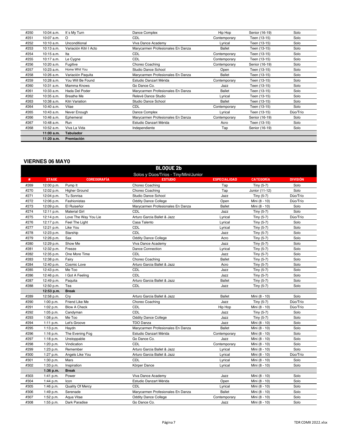| #250 | 10:04 a.m.   | It's My Turn           | Dance Complex                     | Hip Hop       | Senior (16-19) | Solo     |
|------|--------------|------------------------|-----------------------------------|---------------|----------------|----------|
| #251 | 10:07 a.m.   | $\Omega$               | <b>CDL</b>                        | Contemporary  | Teen (13-15)   | Solo     |
| #252 | 10:10 a.m.   | Unconditional          | Viva Dance Academy                | Lyrical       | Teen (13-15)   | Solo     |
| #253 | $10:13$ a.m. | Variación Kitri I Acto | Marycarmen Profesionales En Danza | <b>Ballet</b> | Teen (13-15)   | Solo     |
| #254 | $10:15$ a.m. | Ita                    | <b>CDL</b>                        | Contemporary  | Teen (13-15)   | Solo     |
| #255 | 10:17 a.m.   | Le Cygne               | <b>CDL</b>                        | Contemporary  | Teen (13-15)   | Solo     |
| #256 | 10:20 a.m.   | Fugitive               | Choreo Coaching                   | Contemporary  | Senior (16-19) | Solo     |
| #257 | 10:23 a.m.   | Home Whit You          | Studio Dance School               | Open          | Teen (13-15)   | Solo     |
| #258 | 10:26 a.m.   | Variación Paquita      | Marycarmen Profesionales En Danza | <b>Ballet</b> | Teen (13-15)   | Solo     |
| #259 | 10:28 a.m.   | You Will Be Found      | Estudio Danzart Mérida            | Contemporary  | Teen (13-15)   | Solo     |
| #260 | 10:31 a.m.   | Mamma Knows            | Go Dance Co.                      | Jazz          | Teen (13-15)   | Solo     |
| #261 | 10:33 a.m.   | Hada Del Poder         | Marycarmen Profesionales En Danza | <b>Ballet</b> | Teen (13-15)   | Solo     |
| #262 | 10:35 a.m.   | <b>Breathe Me</b>      | Relevé Dance Studio               | Lyrical       | Teen (13-15)   | Solo     |
| #263 | 10:38 a.m.   | Kitri Variation        | Studio Dance School               | <b>Ballet</b> | Teen (13-15)   | Solo     |
| #264 | 10:40 a.m.   | Vitae                  | <b>CDL</b>                        | Contemporary  | Teen (13-15)   | Solo     |
| #265 | 10:43 a.m.   | Never Enough           | Dance Complex                     | Lyrical       | Teen (13-15)   | Dúo/Trío |
| #266 | 10:46 a.m.   | Ephemeral              | Marycarmen Profesionales En Danza | Contemporary  | Senior (16-19) | Solo     |
| #267 | 10:48 a.m.   | Run                    | Estudio Danzart Mérida            | Acro          | Teen (13-15)   | Solo     |
| #268 | 10:52 a.m.   | Viva La Vida           | Independiente                     | Tap           | Senior (16-19) | Solo     |
|      | 11:00 a.m.   | <b>Tabulador</b>       |                                   |               |                |          |
|      | 11:20 a.m.   | Premiación             |                                   |               |                |          |

#### **VIERNES 06 MAY0**

|      | <b>BLOQUE 2b</b> |                      |                                       |                     |                  |                 |  |
|------|------------------|----------------------|---------------------------------------|---------------------|------------------|-----------------|--|
|      |                  |                      | Solos y Dúos/Tríos - Tiny/Mini/Junior |                     |                  |                 |  |
| #    | <b>STAGE</b>     | <b>COREOGRAFÍA</b>   | <b>ESTUDIO</b>                        | <b>ESPECIALIDAD</b> | <b>CATEGORÍA</b> | <b>DIVISIÓN</b> |  |
| #269 | 12:00 p.m.       | Pump It              | Choreo Coaching                       | Tap                 | Tiny (5-7)       | Solo            |  |
| #270 | 12:02 p.m.       | <b>Higher Ground</b> | Choreo Coaching                       | Tap                 | Junior (11-12)   | Solo            |  |
| #271 | 12:04 p.m.       | Tu Sonrisa           | Studio Dance School                   | Jazz                | Tiny (5-7)       | Dúo/Trío        |  |
| #272 | 12:06 p.m.       | Fashionistas         | <b>Oddity Dance College</b>           | Open                | Mini (8 - 10)    | Dúo/Trío        |  |
| #273 | 12:09 p.m.       | El Ruiseñor          | Marycarmen Profesionales En Danza     | <b>Ballet</b>       | Mini (8 - 10)    | Solo            |  |
| #274 | 12:11 p.m.       | <b>Material Girl</b> | CDL                                   | Jazz                | Tiny $(5-7)$     | Solo            |  |
| #275 | 12:14 p.m.       | Love The Way You Lie | Arturo Garcia Ballet & Jazz           | Lyrical             | Tiny (5-7)       | Dúo/Trío        |  |
| #276 | 12:17 p.m.       | Feel The Light       | Casa Talento                          | Lyrical             | Tiny (5-7)       | Solo            |  |
| #277 | 12:21 p.m.       | Like You             | CDL                                   | Lyrical             | Tiny (5-7)       | Solo            |  |
| #278 | 12:23 p.m.       | Starship             | <b>CDL</b>                            | Jazz                | Tiny (5-7)       | Solo            |  |
| #279 | 12:26 p.m.       | Sax                  | <b>Oddity Dance College</b>           | Acro                | Tiny (5-7)       | Solo            |  |
| #280 | 12:29 p.m.       | Show Me              | Viva Dance Academy                    | Jazz                | Tiny (5-7)       | Solo            |  |
| #281 | 12:32 p.m.       | Freeze               | Dance Connection                      | Lyrical             | Tiny (5-7)       | Solo            |  |
| #282 | 12:35 p.m.       | One More Time        | CDL                                   | Jazz                | Tiny (5-7)       | Solo            |  |
| #283 | 12:38 p.m.       | Fairv                | Choreo Coaching                       | <b>Ballet</b>       | Tiny (5-7)       | Solo            |  |
| #284 | 12:40 p.m.       | Cosmic Love          | Arturo Garcia Ballet & Jazz           | Acro                | Tiny (5-7)       | Solo            |  |
| #285 | 12:43 p.m.       | Me Too               | <b>CDL</b>                            | Jazz                | Tiny (5-7)       | Solo            |  |
| #286 | 12:46 p.m.       | I Got A Feeling      | <b>CDL</b>                            | Jazz                | Tiny (5-7)       | Solo            |  |
| #287 | 12:49 p.m.       | Paquita              | Arturo Garcia Ballet & Jazz           | <b>Ballet</b>       | Tiny (5-7)       | Solo            |  |
| #288 | 12:50 p.m.       | Tea                  | CDL                                   | Jazz                | Tiny (5-7)       | Solo            |  |
|      | 12:53 p.m.       | <b>Break</b>         |                                       |                     |                  |                 |  |
| #289 | 12:58 p.m.       | Cry                  | Arturo Garcia Ballet & Jazz           | <b>Ballet</b>       | Mini (8 - 10)    | Solo            |  |
| #290 | 1:00 p.m.        | Friend Like Me       | Choreo Coaching                       | Jazz                | Tiny (5-7)       | Dúo/Trío        |  |
| #291 | 1:02 p.m.        | <b>Blow A Check</b>  | CDL                                   | Hip Hop             | Mini (8 - 10)    | Dúo/Trío        |  |
| #292 | 1:05 p.m.        | Candyman             | CDL                                   | Jazz                | Tiny (5-7)       | Solo            |  |
| #293 | 1:08 p.m.        | Me Too               | <b>Oddity Dance College</b>           | Jazz                | Tiny (5-7)       | Solo            |  |
| #294 | 1:11 p.m.        | Let's Groove         | <b>TDO Danza</b>                      | Jazz                | Mini (8 - 10)    | Solo            |  |
| #295 | 1:13 p.m.        | Haydn                | Marycarmen Profesionales En Danza     | <b>Ballet</b>       | Mini (8 - 10)    | Solo            |  |
| #296 | 1:16 p.m.        | The Evening Fog      | Estudio Danzart Mérida                | Contemporary        | Mini (8 - 10)    | Solo            |  |
| #297 | 1:18 p.m.        | Unstoppable          | Go Dance Co.                          | Jazz                | Mini (8 - 10)    | Solo            |  |
| #298 | 1:20 p.m.        | Vindication          | <b>CDL</b>                            | Contemporary        | Mini (8 - 10)    | Solo            |  |
| #299 | 1:23 p.m.        | Remember             | Arturo Garcia Ballet & Jazz           | Lyrical             | Mini (8 - 10)    | Solo            |  |
| #300 | 1:27 p.m.        | Angels Like You      | Arturo Garcia Ballet & Jazz           | Lyrical             | Mini (8 - 10)    | Dúo/Trío        |  |
| #301 | 1:30 p.m.        | Mars                 | CDL                                   | Lyrical             | Mini (8 - 10)    | Solo            |  |
| #302 | 1:33 p.m.        | Inspiration          | Körper Dance                          | Lyrical             | Mini (8 - 10)    | Solo            |  |
|      | 1:36 p.m.        | <b>Break</b>         |                                       |                     |                  |                 |  |
| #303 | 1:41 p.m.        | Power                | Viva Dance Academy                    | Jazz                | Mini (8 - 10)    | Solo            |  |
| #304 | 1:44 p.m.        | Icon                 | Estudio Danzart Mérida                | Open                | Mini (8 - 10)    | Solo            |  |
| #305 | 1:46 p.m.        | Quality Of Mercy     | CDL                                   | Lyrical             | Mini (8 - 10)    | Solo            |  |
| #306 | 1:49 p.m.        | Serenade             | Marycarmen Profesionales En Danza     | <b>Ballet</b>       | Mini (8 - 10)    | Solo            |  |
| #307 | 1:52 p.m.        | Aqua Vitae           | <b>Oddity Dance College</b>           | Contemporary        | Mini (8 - 10)    | Solo            |  |
| #308 | 1:55 p.m.        | Dark Paradise        | Go Dance Co.                          | Jazz                | Mini (8 - 10)    | Solo            |  |
|      |                  |                      |                                       |                     |                  |                 |  |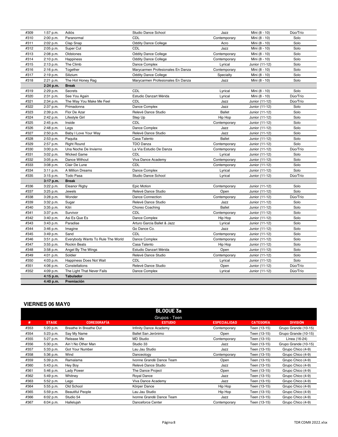| #309 | 1:57 p.m. | Adiós                             | Studio Dance School               | Jazz          | Mini (8 - 10)  | Dúo/Trío |
|------|-----------|-----------------------------------|-----------------------------------|---------------|----------------|----------|
| #310 | 2:00 p.m. | Paranormal                        | CDL                               | Contemporary  | Mini (8 - 10)  | Solo     |
| #311 | 2:02 p.m. | Clap Snap                         | <b>Oddity Dance College</b>       | Acro          | Mini (8 - 10)  | Solo     |
| #312 | 2:05 p.m. | Super Cut                         | <b>CDL</b>                        | Jazz          | Mini (8 - 10)  | Solo     |
| #313 | 2:08 p.m. | Oldstones                         | <b>Oddity Dance College</b>       | Contemporary  | Mini (8 - 10)  | Solo     |
| #314 | 2:10 p.m. | Happiness                         | <b>Oddity Dance College</b>       | Contemporary  | Mini (8 - 10)  | Solo     |
| #315 | 2:13 p.m. | The Climb                         | Dance Complex                     | Lyrical       | Junior (11-12) | Solo     |
| #316 | 2:16 p.m. | Together                          | Marycarmen Profesionales En Danza | Contemporary  | Mini (8 - 10)  | Solo     |
| #317 | 2:19 p.m. | Silizium                          | <b>Oddity Dance College</b>       | Specialty     | Mini (8 - 10)  | Solo     |
| #318 | 2:21 p.m. | The Hot Honey Rag                 | Marycarmen Profesionales En Danza | Jazz          | Mini (8 - 10)  | Solo     |
|      | 2:24 p.m. | <b>Break</b>                      |                                   |               |                |          |
| #319 | 2:29 p.m. | Secrets                           | CDL                               | Lyrical       | Mini (8 - 10)  | Solo     |
| #320 | 2:31 p.m. | See You Again                     | Estudio Danzart Mérida            | Lyrical       | Mini (8 - 10)  | Dúo/Trío |
| #321 | 2:34 p.m. | The Way You Make Me Feel          | CDL                               | Jazz          | Junior (11-12) | Dúo/Trío |
| #322 | 2:37 p.m. | Primadonna                        | Dance Complex                     | Jazz          | Junior (11-12) | Solo     |
| #323 | 2:39 p.m. | Flor De Azar                      | Relevé Dance Studio               | <b>Ballet</b> | Junior (11-12) | Solo     |
| #324 | 2:42 p.m. | Lifestyle Girl                    | Step Up                           | Hip Hop       | Junior (11-12) | Solo     |
| #325 | 2:45 p.m. | Inside                            | CDL                               | Contemporary  | Junior (11-12) | Solo     |
| #326 | 2:48 p.m. | Legs                              | Dance Complex                     | Jazz          | Junior (11-12) | Solo     |
| #327 | 2:50 p.m. | Baby I Love Your Way              | Relevé Dance Studio               | Jazz          | Junior (11-12) | Solo     |
| #328 | 2:53 p.m. | Paguita                           | Casa Talento                      | <b>Ballet</b> | Junior (11-12) | Solo     |
| #329 | 2:57 p.m. | <b>Right Round</b>                | <b>TDO Danza</b>                  | Contemporary  | Junior (11-12) | Solo     |
| #330 | 3:00 p.m. | Una Noche De Invierno             | La Vía Estudio De Danza           | Contemporary  | Junior (11-12) | Dúo/Trío |
| #331 | 3:02 p.m. | <b>Wicked Game</b>                | <b>CDL</b>                        | Lyrical       | Junior (11-12) | Solo     |
| #332 | 3:05 p.m. | Dance Without                     | Viva Dance Academy                | Contemporary  | Junior (11-12) | Solo     |
| #333 | 3:08 p.m. | Clair De Lune                     | <b>CDL</b>                        | Contemporary  | Junior (11-12) | Solo     |
| #334 | 3:11 p.m. | A Million Dreams                  | Dance Complex                     | Lyrical       | Junior (11-12) | Solo     |
| #335 | 3:15 p.m. | <b>Todo Pasa</b>                  | Studio Dance School               | Lyrical       | Junior (11-12) | Dúo/Trío |
|      | 3:17 p.m. | <b>Break</b>                      |                                   |               |                |          |
| #336 | 3:22 p.m. | <b>Eleanor Rigby</b>              | Epic Motion                       | Contemporary  | Junior (11-12) | Solo     |
| #337 | 3:25 p.m. | Jewels                            | Relevé Dance Studio               | Open          | Junior (11-12) | Solo     |
| #338 | 3:28 p.m. | Wonder                            | Dance Connection                  | Contemporary  | Junior (11-12) | Dúo/Trío |
| #339 | 3:32 p.m. | Sugar                             | Relevé Dance Studio               | Jazz          | Junior (11-12) | Solo     |
| #340 | 3:35 p.m. | Kitri                             | Choreo Coaching                   | <b>Ballet</b> | Junior (11-12) | Solo     |
| #341 | 3:37 p.m. | Survivor                          | <b>CDL</b>                        | Contemporary  | Junior (11-12) | Solo     |
| #342 | 3:40 p.m. | Asi Es Que Es                     | Dance Complex                     | Hip Hop       | Junior (11-12) | Solo     |
| #343 | 3:43 p.m. | Paradise                          | Arturo Garcia Ballet & Jazz       | Lyrical       | Junior (11-12) | Solo     |
| #344 | 3:46 p.m. | Imagine                           | Go Dance Co.                      | Jazz          | Junior (11-12) | Solo     |
| #345 | 3:49 p.m. | Sand                              | <b>CDL</b>                        | Contemporary  | Junior (11-12) | Solo     |
| #346 | 3:51 p.m. | Everybody Wants To Rule The World | Dance Complex                     | Contemporary  | Junior (11-12) | Solo     |
| #347 | 3:55 p.m. | <b>Rockin Beats</b>               | Casa Talento                      | Hip Hop       | Junior (11-12) | Solo     |
| #348 | 3:58 p.m. | Angel By The Wings                | Estudio Danzart Mérida            | Open          | Junior (11-12) | Solo     |
| #349 | 4:01 p.m. | Soldier                           | Relevé Dance Studio               | Contemporary  | Junior (11-12) | Solo     |
| #350 | 4:03 p.m. | Happiness Does Not Wait           | <b>CDL</b>                        | Lyrical       | Junior (11-12) | Solo     |
| #351 | 4:06 p.m. | Constellations                    | Relevé Dance Studio               | Open          | Junior (11-12) | Dúo/Trío |
| #352 | 4:09 p.m. | The Light That Never Fails        | Dance Complex                     | Lyrical       | Junior (11-12) | Dúo/Trío |
|      | 4:15 p.m. | <b>Tabulador</b>                  |                                   |               |                |          |
|      | 4:40 p.m. | Premiación                        |                                   |               |                |          |

#### **VIERNES 06 MAY0**

|      |              |                         | <b>BLOQUE 3a</b>         |                     |                  |                      |
|------|--------------|-------------------------|--------------------------|---------------------|------------------|----------------------|
|      |              |                         | Grupos - Teen            |                     |                  |                      |
| #    | <b>STAGE</b> | <b>COREOGRAFÍA</b>      | <b>ESTUDIO</b>           | <b>ESPECIALIDAD</b> | <b>CATEGORÍA</b> | <b>DIVISIÓN</b>      |
| #353 | 5:20 p.m.    | Breathe In Breathe Out  | Infinity Dance Academy   | Contemporary        | Teen (13-15)     | Grupo Grande (10-15) |
| #354 | 5:23 p.m.    | Say My Name             | Ballet San Jerónimo      | Open                | Teen (13-15)     | Grupo Grande (10-15) |
| #355 | 5:27 p.m.    | Release Me              | <b>MD Studio</b>         | Contemporary        | Teen (13-15)     | Línea (16-24)        |
| #356 | 5:30 p.m.    | Ain't No Other Man      | Studio 33                | Jazz                | Teen (13-15)     | Grupo Grande (10-15) |
| #357 | 5:33 p.m.    | Got Your Number         | Lau Jau Studio           | Jazz                | Teen (13-15)     | Grupo Chico (4-9)    |
| #358 | 5:36 p.m.    | Wind                    | Danceology               | Contemporary        | Teen (13-15)     | Grupo Chico (4-9)    |
| #359 | 5:39 p.m.    | Ramalama                | Ivonne Grandé Dance Team | Open                | Teen (13-15)     | Grupo Chico (4-9)    |
| #360 | 5:43 p.m.    | Hey Boy                 | Relevé Dance Studio      | Jazz                | Teen (13-15)     | Grupo Chico (4-9)    |
| #361 | 5:46 p.m.    | Lady Power              | The Dance Project        | Open                | Teen (13-15)     | Grupo Chico (4-9)    |
| #362 | 5:49 p.m.    | Whitney                 | Royal Dance              | Jazz                | Teen (13-15)     | Grupo Chico (4-9)    |
| #363 | 5:52 p.m.    | Lego                    | Viva Dance Academy       | Jazz                | Teen (13-15)     | Grupo Chico (4-9)    |
| #364 | 5:55 p.m.    | Old School              | Körper Dance             | Hip Hop             | Teen (13-15)     | Grupo Chico (4-9)    |
| #365 | 5:59 p.m.    | <b>Beautiful People</b> | Lau Jau Studio           | Hip Hop             | Teen (13-15)     | Grupo Chico (4-9)    |
| #366 | 6:02 p.m.    | Studio 54               | Ivonne Grandé Dance Team | Jazz                | Teen (13-15)     | Grupo Chico (4-9)    |
| #367 | 6:04 p.m.    | Hallelujah              | Danceforce Center        | Contemporary        | Teen (13-15)     | Grupo Chico (4-9)    |
|      |              |                         |                          |                     |                  |                      |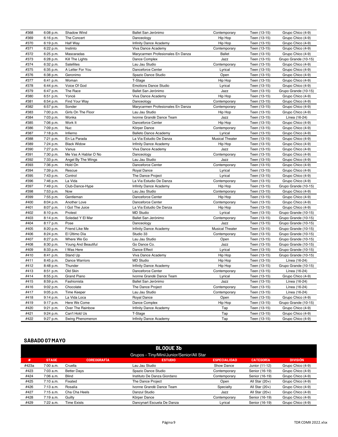| #368 | 6:08 p.m. | Shadow Wind          | Ballet San Jerónimo               | Contemporary           | Teen (13-15) | Grupo Chico (4-9)    |
|------|-----------|----------------------|-----------------------------------|------------------------|--------------|----------------------|
| #369 | 6:16 p.m. | The Concert          | Danceology                        | Hip Hop                | Teen (13-15) | Grupo Chico (4-9)    |
| #370 | 6:19 p.m. | Half Way             | <b>Infinity Dance Academy</b>     | Hip Hop                | Teen (13-15) | Grupo Chico (4-9)    |
| #371 | 6:22 p.m. | Instinto             | Viva Dance Academy                | Contemporary           | Teen (13-15) | Grupo Chico (4-9)    |
| #372 | 6:25 p.m. | Mascaradas           | Marycarmen Profesionales En Danza | <b>Ballet</b>          | Teen (13-15) | Grupo Chico (4-9)    |
| #373 | 6:28 p.m. | Kill The Lights      | Dance Complex                     | Jazz                   | Teen (13-15) | Grupo Grande (10-15) |
| #374 | 6:32 p.m. | Satellites           | Lau Jau Studio                    | Contemporary           | Teen (13-15) | Grupo Chico (4-9)    |
| #375 | 6:35 p.m. | A Letter For You     | Danceforce Center                 | Lyrical                | Teen (13-15) | Grupo Chico (4-9)    |
| #376 | 6:38 p.m. | Geronimo             | Spazio Dance Studio               | Open                   | Teen (13-15) | Grupo Chico (4-9)    |
| #377 | 6:41 p.m. | Woman                | T-Stage                           | Hip Hop                | Teen (13-15) | Grupo Chico (4-9)    |
| #378 | 6:44 p.m. | Voice Of God         | <b>Emotions Dance Studio</b>      | Lyrical                | Teen (13-15) | Grupo Chico (4-9)    |
| #379 | 6:47 p.m. | The Race             | Ballet San Jerónimo               | Jazz                   | Teen (13-15) | Grupo Grande (10-15) |
| #380 | 6:51 p.m. | Yoncé                | Viva Dance Academy                | Hip Hop                | Teen (13-15) | Grupo Chico (4-9)    |
| #381 | 6:54 p.m. | Find Your Way        | Danceology                        | Contemporary           | Teen (13-15) | Grupo Chico (4-9)    |
| #382 | 6:57 p.m. | Sonder               | Marycarmen Profesionales En Danza | Contemporary           | Teen (13-15) | Grupo Chico (4-9)    |
| #383 | 7:00 p.m. | Girls On The Floor   | Lau Jau Studio                    | Hip Hop                | Teen (13-15) | Grupo Chico (4-9)    |
| #384 | 7:03 p.m. | Wonka                | Ivonne Grandé Dance Team          | Jazz                   | Teen (13-15) | Línea (16-24)        |
| #385 | 7:06 p.m. | Work It              | Danceforce Center                 | Hip Hop                | Teen (13-15) | Grupo Chico (4-9)    |
| #386 | 7:09 p.m. | Nuc                  | Körper Dance                      | Contemporary           | Teen (13-15) | Grupo Chico (4-9)    |
| #387 | 7:18 p.m. | Infierno             | <b>Balleto Dance Academy</b>      | Lyrical                | Teen (13-15) | Grupo Chico (4-9)    |
| #388 | 7:21 p.m. | En La Parada         | La Vía Estudio De Danza           | <b>Musical Theater</b> | Teen (13-15) | Grupo Chico (4-9)    |
| #389 | 7:24 p.m. | <b>Black Widow</b>   | Infinity Dance Academy            | Hip Hop                | Teen (13-15) | Grupo Chico (4-9)    |
| #390 | 7:27 p.m. | Vanus                | Viva Dance Academy                | Jazz                   | Teen (13-15) | Grupo Chico (4-9)    |
| #391 | 7:30 p.m. | Me Vas A Hablar O No | Danceology                        | Contemporary           | Teen (13-15) | Grupo Chico (4-9)    |
| #392 | 7:33 p.m. | Angel By The Wings   | Lau Jau Studio                    | Jazz                   | Teen (13-15) | Grupo Chico (4-9)    |
| #393 | 7:36 p.m. | Hold On              | Danceforce Center                 | Contemporary           | Teen (13-15) | Grupo Chico (4-9)    |
| #394 | 7:39 p.m. | Rescue               | Royal Dance                       | Lyrical                | Teen (13-15) | Grupo Chico (4-9)    |
| #395 | 7:43 p.m. | Control              | The Dance Project                 | Lyrical                | Teen (13-15) | Grupo Chico (4-9)    |
| #396 | 7:46 p.m. | La Vida              | La Vía Estudio De Danza           | Contemporary           | Teen (13-15) | Grupo Chico (4-9)    |
| #397 | 7:49 p.m. | Club-Dance-Hype      | Infinity Dance Academy            | Hip Hop                | Teen (13-15) | Grupo Grande (10-15) |
| #398 | 7:53 p.m. | Now                  | Lau Jau Studio                    | Contemporary           | Teen (13-15) | Grupo Chico (4-9)    |
| #399 | 7:55 p.m. | Gentleman            | Danceforce Center                 | Hip Hop                | Teen (13-15) | Grupo Chico (4-9)    |
| #400 | 8:04 p.m. | Another Love         | Danceforce Center                 | Contemporary           | Teen (13-15) | Grupo Chico (4-9)    |
| #401 | 8:07 p.m. | I Got The Juice      | La Vía Estudio De Danza           | Hip Hop                | Teen (13-15) | Grupo Chico (4-9)    |
| #402 | 8:10 p.m. | Protest              | <b>MD Studio</b>                  | Lyrical                | Teen (13-15) | Grupo Grande (10-15) |
| #403 | 8:14 p.m. | Soledad Y El Mar     | Ballet San Jerónimo               | Contemporary           | Teen (13-15) | Grupo Grande (10-15) |
| #404 | 8:17 p.m. | Pose                 | Danceology                        | Jazz                   | Teen (13-15) | Grupo Grande (10-15) |
| #405 | 8:20 p.m. | Friend Like Me       | <b>Infinity Dance Academy</b>     | <b>Musical Theater</b> | Teen (13-15) | Grupo Grande (10-15) |
| #406 | 8:24 p.m. | El Último Día        | Studio 33                         | Contemporary           | Teen (13-15) | Grupo Grande (10-15) |
| #407 | 8:27 p.m. | Where We Go          | Lau Jau Studio                    | Open                   | Teen (13-15) | Grupo Grande (10-15) |
| #408 | 8:30 p.m. | Young And Beautiful  | Go Dance Co.                      | Jazz                   | Teen (13-15) | Grupo Grande (10-15) |
| #409 | 8:33 p.m. | I Was Here           | Dance Effect                      | Lyrical                | Teen (13-15) | Grupo Grande (10-15) |
| #410 | 8:41 p.m. | Stand Up             | Viva Dance Academy                | Hip Hop                | Teen (13-15) | Grupo Grande (10-15) |
| #411 | 8:45 p.m. | Dance Warriors       | <b>MD Studio</b>                  | Hip Hop                | Teen (13-15) | Línea (16-24)        |
| #412 | 8:48 p.m. | Thunder              | Infinity Dance Academy            | Hip Hop                | Teen (13-15) | Grupo Grande (10-15) |
| #413 | 8:51 p.m. | Old Skin             | Danceforce Center                 | Contemporary           | Teen (13-15) | Línea (16-24)        |
| #414 | 8:55 p.m. | <b>Grand Piano</b>   | Ivonne Grandé Dance Team          | Lyrical                | Teen (13-15) | Grupo Chico (4-9)    |
| #415 | 8:59 p.m. | Fashionista          | Ballet San Jerónimo               | Jazz                   | Teen (13-15) | Línea (16-24)        |
| #416 | 9:02 p.m. | Chocolate            | The Dance Project                 | Contemporary           | Teen (13-15) | Línea (16-24)        |
| #417 | 9:05 p.m. | Time Keeper          | Lau Jau Studio                    | Contemporary           | Teen (13-15) | Línea (16-24)        |
| #418 | 9:14 p.m. | La Vida Loca         | Royal Dance                       | Open                   | Teen (13-15) | Grupo Chico (4-9)    |
| #419 | 9:17 p.m. | Here We Come         | Dance Complex                     | Hip Hop                | Teen (13-15) | Grupo Grande (10-15) |
| #420 | 9:21 p.m. | Over The Rainbow     | Infinity Dance Academy            | Tap                    | Teen (13-15) | Grupo Chico (4-9)    |
| #421 | 9:24 p.m. | Can't Hold Us        | T-Stage                           | Tap                    | Teen (13-15) | Grupo Chico (4-9)    |
| #422 | 9:27 p.m. | Swing Phenomenon     | <b>Infinity Dance Academy</b>     | Tap                    | Teen (13-15) | Grupo Chico (4-9)    |

## **SÁBADO 07 MAYO**

| <b>BLOOUE 3b</b>                          |              |                    |                             |                     |                  |                   |  |
|-------------------------------------------|--------------|--------------------|-----------------------------|---------------------|------------------|-------------------|--|
| Grupos - Tiny/Mini/Junior/Senior/All Star |              |                    |                             |                     |                  |                   |  |
| #                                         | <b>STAGE</b> | <b>COREOGRAFÍA</b> | <b>ESTUDIO</b>              | <b>ESPECIALIDAD</b> | <b>CATEGORÍA</b> | <b>DIVISIÓN</b>   |  |
| #423a                                     | 7:00 a.m.    | Cruella            | Lau Jau Studio              | Show Dance          | Junior (11-12)   | Grupo Chico (4-9) |  |
| #423                                      | 7:03 a.m.    | <b>Better Days</b> | Spazio Dance Studio         | Contemporary        | Senior (16-19)   | Grupo Chico (4-9) |  |
| #424                                      | 7:06 a.m.    | <b>Blind</b>       | Instituto De Danza Giordano | Contemporarv        | Senior (16-19)   | Grupo Chico (4-9) |  |
| #425                                      | 7:10 a.m.    | Fixated            | The Dance Project           | Open                | All Star $(20+)$ | Grupo Chico (4-9) |  |
| #426                                      | 7:13 a.m.    | Rosalía            | Ivonne Grandé Dance Team    | Specialty           | All Star $(20+)$ | Grupo Chico (4-9) |  |
| #427                                      | $7:15$ a.m.  | Cha Cha Heels      | Danzul Studio               | Jazz                | All Star $(20+)$ | Grupo Chico (4-9) |  |
| #428                                      | 7:19a.m.     | Guilty             | Körper Dance                | Contemporary        | Senior (16-19)   | Grupo Chico (4-9) |  |
| #429                                      | 7:22 a.m.    | Time Exists        | Dancynart Escuela De Danza  | Lyrical             | Senior (16-19)   | Grupo Chico (4-9) |  |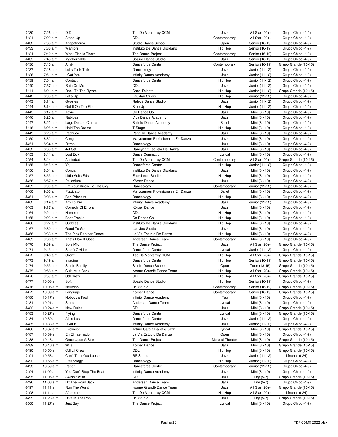| #430 | 7:26 a.m.  | D.D.                      | Tec De Monterrey CCM              | Jazz                   | All Star $(20+)$ | Grupo Chico (4-9)                            |
|------|------------|---------------------------|-----------------------------------|------------------------|------------------|----------------------------------------------|
| #431 | 7:29 a.m.  | Stand Up                  | CDL                               | Contemporary           | All Star $(20+)$ | Grupo Chico (4-9)                            |
| #432 | 7:33 a.m.  | Antipatriarca             | Studio Dance School               | Open                   | Senior (16-19)   | Grupo Chico (4-9)                            |
| #433 | 7:36 a.m.  | Warriors                  | Instituto De Danza Giordano       | Hip Hop                | Senior (16-19)   | Grupo Chico (4-9)                            |
| #434 | 7:40 a.m.  | What Else Is There        | The Dance Project                 | Contemporary           | Senior (16-19)   | Grupo Chico (4-9)                            |
| #435 | 7:43 a.m.  | Ingobernable              | Spazio Dance Studio               | Jazz                   | Senior (16-19)   | Grupo Chico (4-9)                            |
| #436 | 7:45 a.m.  | Amén                      | Danceforce Center                 | Contemporary           | Senior (16-19)   | Grupo Grande (10-15)                         |
|      |            |                           |                                   |                        |                  |                                              |
| #437 | 7:48 a.m.  | Let's Tedx Talk           | Danceology                        | Jazz                   | Junior (11-12)   | Grupo Chico (4-9)                            |
| #438 | 7:51 a.m.  | I Got You                 | Infinity Dance Academy            | Jazz                   | Junior (11-12)   | Grupo Chico (4-9)                            |
| #439 | 7:54 a.m.  | Contact                   | Danceforce Center                 | Hip Hop                | Junior (11-12)   | Grupo Chico (4-9)                            |
| #440 | 7:57 a.m.  | Rain On Me                | CDL                               | Jazz                   | Junior (11-12)   | Grupo Chico (4-9)                            |
| #441 | 8:01 a.m.  | Rock To The Rythm         | Casa Talento                      | Hip Hop                | Junior (11-12)   | Grupo Grande (10-15)                         |
| #442 | 8:03 a.m.  | Let's Up                  | Lau Jau Studio                    | Hip Hop                | Junior (11-12)   | Grupo Chico (4-9)                            |
| #443 | 8:11 a.m.  | Gypsies                   | Relevé Dance Studio               | Jazz                   | Junior (11-12)   | Grupo Chico (4-9)                            |
| #444 | 8:14 a.m.  | Get It On The Floor       | Step Up                           | Hip Hop                | Junior (11-12)   | Grupo Chico (4-9)                            |
| #445 | 8:17 a.m.  | Toxic                     | Go Dance Co.                      | Jazz                   | Mini (8 - 10)    | Grupo Chico (4-9)                            |
|      |            |                           |                                   |                        |                  |                                              |
| #446 | 8:20 a.m.  | Rabiosa                   | Viva Dance Academy                | Jazz                   | Mini (8 - 10)    | Grupo Chico (4-9)                            |
| #447 | 8:22 a.m.  | Lago De Los Cisnes        | <b>Balleto Dance Academy</b>      | <b>Ballet</b>          | Mini (8 - 10)    | Grupo Chico (4-9)                            |
| #448 | 8:25 a.m.  | Hold The Drama            | T-Stage                           | Hip Hop                | Mini (8 - 10)    | Grupo Chico (4-9)                            |
| #449 | 8:28 a.m.  | Pachuco                   | Pegg Mj Dance Academy             | Jazz                   | Mini (8 - 10)    | Grupo Chico (4-9)                            |
| #450 | 8:32 a.m.  | Conga                     | Marycarmen Profesionales En Danza | Jazz                   | Mini (8 - 10)    | Grupo Chico (4-9)                            |
| #451 | 8:34 a.m.  | Ritmo                     | Danceology                        | Jazz                   | Mini (8 - 10)    | Grupo Chico (4-9)                            |
| #452 | 8:38 a.m.  | Jet Set                   | Dancynart Escuela De Danza        | Jazz                   | Mini (8 - 10)    | Grupo Chico (4-9)                            |
| #453 | 8:41 a.m.  | Lost Boy                  | <b>Dance Connection</b>           | Lyrical                | Mini (8 - 10)    | Grupo Chico (4-9)                            |
| #454 | 8:44 a.m.  | Ansiedad                  | Tec De Monterrey CCM              | Contemporary           | All Star $(20+)$ | Grupo Grande (10-15)                         |
| #455 |            |                           | Danceforce Center                 |                        |                  |                                              |
|      | 8:48 a.m.  | Yaji                      |                                   | Hip Hop                | Junior (11-12)   | Grupo Chico (4-9)                            |
| #456 | 8:51 a.m.  | Conga                     | Instituto De Danza Giordano       | Jazz                   | Mini (8 - 10)    | Grupo Chico (4-9)                            |
| #457 | 8:53 a.m.  | Little Volts Eds          | <b>Enerdance Studio</b>           | Hip Hop                | Mini (8 - 10)    | Grupo Chico (4-9)                            |
| #458 | 8:57 a.m.  | Palladium                 | Körper Dance                      | Jazz                   | Mini (8 - 10)    | Grupo Chico (4-9)                            |
| #459 | 9:00 a.m.  | I'm Your Arrow To The Sky | Danceology                        | Contemporary           | Junior (11-12)   | Grupo Chico (4-9)                            |
| #460 | 9:03 a.m.  | Pizzicato                 | Marycarmen Profesionales En Danza | <b>Ballet</b>          | Mini (8 - 10)    | Grupo Chico (4-9)                            |
| #461 | 9:06 a.m.  | <b>Bad Princess</b>       | Danceology                        | Hip Hop                | Mini (8 - 10)    | Grupo Chico (4-9)                            |
| #462 | 9:14 a.m.  | Am To Pm                  | Infinity Dance Academy            | Jazz                   | Junior (11-12)   | Grupo Chico (4-9)                            |
| #463 | 9:17 a.m.  | Comedy Of Errors          | Körper Dance                      | Jazz                   | Mini (8 - 10)    | Grupo Chico (4-9)                            |
| #464 | 9:21 a.m.  | Humble                    | CDL                               | Hip Hop                | Mini (8 - 10)    | Grupo Chico (4-9)                            |
| #465 |            |                           | Go Dance Co.                      | Hip Hop                |                  | Grupo Chico (4-9)                            |
|      | 9:23 a.m.  | <b>Beat Freaks</b>        |                                   |                        | Mini (8 - 10)    |                                              |
| #466 | 9:27 a.m.  | Cuddles                   | Instituto De Danza Giordano       | Hip Hop                | Mini (8 - 10)    | Grupo Chico (4-9)                            |
| #467 | 9:30 a.m.  | Good To Go                | Lau Jau Studio                    | Jazz                   | Mini (8 - 10)    | Grupo Chico (4-9)                            |
| #468 | 9:33 a.m.  | The Pink Panther Dance    | La Vía Estudio De Danza           | Hip Hop                | Mini (8 - 10)    | Grupo Chico (4-9)                            |
| #469 | 9:36 a.m.  | Thats How It Goes         | Andersen Dance Team               | Contemporary           | Mini (8 - 10)    | Grupo Chico (4-9)                            |
| #470 | 9:39 a.m.  | Sole Mío                  | The Dance Project                 | Jazz                   | All Star (20+)   | Grupo Grande (10-15)                         |
| #471 | 9:43 a.m.  | Sabrá Olvidar             | Danceforce Center                 | Lyrical                | Junior (11-12)   | Grupo Chico (4-9)                            |
| #472 | 9:46 a.m.  | Grown                     | Tec De Monterrey CCM              | Hip Hop                | All Star (20+)   | Grupo Grande (10-15)                         |
| #473 | 9:49 a.m.  | Imagine                   | Danceforce Center                 | Hip Hop                | Senior (16-19)   | Grupo Grande (10-15)                         |
| #474 | 9:53 a.m.  | Studio Family             | Studio Dance School               | Open                   | Teen (13-15)     | Grupo Grande (10-15)                         |
| #475 |            |                           | Ivonne Grandé Dance Team          |                        |                  |                                              |
|      | 9:56 a.m.  | Culture Is Back           |                                   | Hip Hop                | All Star $(20+)$ | Grupo Grande (10-15)<br>Grupo Grande (10-15) |
| #476 | 9:59 a.m.  | <b>Cdl Crew</b>           | <b>CDL</b>                        | Hip Hop                | All Star $(20+)$ |                                              |
| #477 | 10:03 a.m. | Soft                      | Spazio Dance Studio               | Hip Hop                | Senior (16-19)   | Grupo Chico (4-9)                            |
| #478 | 10:06 a.m. | Neutrino                  | <b>RS Studio</b>                  | Contemporary           | Senior (16-19)   | Grupo Grande (10-15)                         |
| #479 | 10:09 a.m. | Lenguaje                  | Körper Dance                      | Contemporary           | Senior (16-19)   | Grupo Grande (10-15)                         |
| #480 | 10:17 a.m. | Nobody's Fool             | <b>Infinity Dance Academy</b>     | Tap                    | Mini (8 - 10)    | Grupo Chico (4-9)                            |
| #481 | 10:21 a.m. | Static                    | Andersen Dance Team               | Lyrical                | Mini (8 - 10)    | Grupo Chico (4-9)                            |
| #482 | 10:24 a.m. | New Rules                 | CDL                               | Jazz                   | Mini (8 - 10)    | Grupo Grande (10-15)                         |
| #483 | 10:27 a.m. | Flying                    | Danceforce Center                 | Lyrical                | Mini (8 - 10)    | Grupo Grande (10-15)                         |
| #484 | 10:30 a.m. | All Is Lost               | Danceforce Center                 | Jazz                   | Junior (11-12)   | Grupo Chico (4-9)                            |
|      |            |                           |                                   |                        |                  |                                              |
| #485 | 10:33 a.m. | I Got It                  | Infinity Dance Academy            | Jazz                   | Junior (11-12)   | Grupo Chico (4-9)                            |
| #486 | 10:37 a.m. | Evolución                 | Arturo Garcia Ballet & Jazz       | Lyrical                | Mini (8 - 10)    | Grupo Grande (10-15)                         |
| #487 | 10:39 a.m. | En El Internado           | La Vía Estudio De Danza           | Open                   | Mini (8 - 10)    | Grupo Chico (4-9)                            |
| #488 | 10:43 a.m. | Once Upon A Star          | The Dance Project                 | <b>Musical Theater</b> | Mini (8 - 10)    | Grupo Grande (10-15)                         |
| #489 | 10:46 a.m. | 90 <sub>s</sub>           | Körper Dance                      | Jazz                   | Mini (8 - 10)    | Grupo Grande (10-15)                         |
| #490 | 10:50 a.m. | Cdl Lil Crew              | CDL                               | Hip Hop                | Mini (8 - 10)    | Grupo Grande (10-15)                         |
| #491 | 10:53 a.m. | Can't Turn You Loose      | <b>RS Studio</b>                  | Jazz                   | Junior (11-12)   | Línea (16-24)                                |
| #492 | 10:56 a.m. | Freshology                | Danceology                        | Hip Hop                | Junior (11-12)   | Grupo Chico (4-9)                            |
| #493 | 10:59 a.m. | Peponi                    | Danceforce Center                 | Contemporary           | Junior (11-12)   | Grupo Chico (4-9)                            |
|      |            |                           |                                   |                        |                  |                                              |
| #494 | 11:02 a.m. | You Can't Stop The Beat   | Infinity Dance Academy            | Jazz                   | Mini (8 - 10)    | Grupo Chico (4-9)                            |
| #495 | 11:05 a.m. | Swish Swish               | CDL                               | Jazz                   | Tiny (5-7)       | Grupo Grande (10-15)                         |
| #496 | 11:08 a.m. | Hit The Road Jack         | Andersen Dance Team               | Jazz                   | Tiny (5-7)       | Grupo Chico (4-9)                            |
| #497 | 11:11 a.m. | Run The World             | Ivonne Grandé Dance Team          | Jazz                   | All Star $(20+)$ | Grupo Grande (10-15)                         |
| #498 | 11:14 a.m. | Aftermath                 | Tec De Monterrey CCM              | Hip Hop                | All Star $(20+)$ | Línea (16-24)                                |
| #499 | 11:23 a.m. | Dive In The Pool          | <b>RS Studio</b>                  | Jazz                   | Tiny (5-7)       | Grupo Grande (10-15)                         |
| #500 | 11:27 a.m. | Just Say                  | The Dance Project                 | Lyrical                | Mini (8 - 10)    | Grupo Chico (4-9)                            |
|      |            |                           |                                   |                        |                  |                                              |